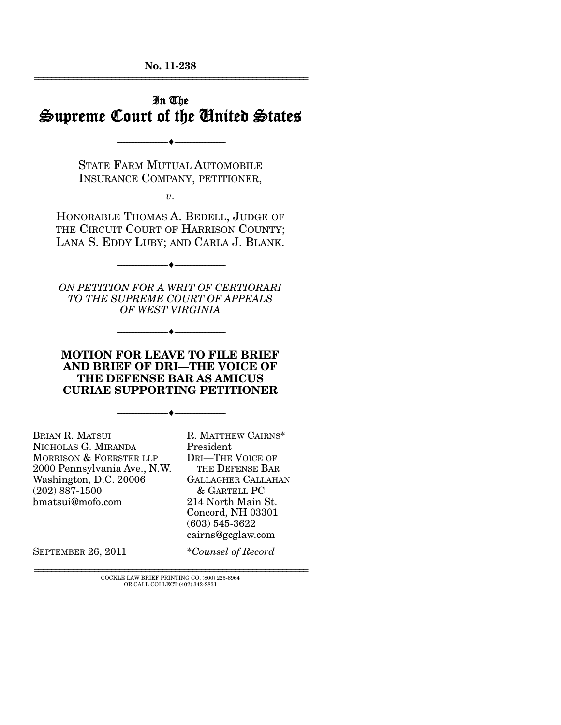**No. 11-238**  ================================================================

## In The Supreme Court of the United States

STATE FARM MUTUAL AUTOMOBILE INSURANCE COMPANY, PETITIONER,

--------------------------------- ♦ ---------------------------------

*v*.

HONORABLE THOMAS A. BEDELL, JUDGE OF THE CIRCUIT COURT OF HARRISON COUNTY; LANA S. EDDY LUBY; AND CARLA J. BLANK.

--------------------------------- ♦ ---------------------------------

*ON PETITION FOR A WRIT OF CERTIORARI TO THE SUPREME COURT OF APPEALS OF WEST VIRGINIA* 

--------------------------------- ♦ ---------------------------------

**MOTION FOR LEAVE TO FILE BRIEF AND BRIEF OF DRI—THE VOICE OF THE DEFENSE BAR AS AMICUS CURIAE SUPPORTING PETITIONER** 

--------------------------------- ♦ ---------------------------------

BRIAN R. MATSUI NICHOLAS G. MIRANDA MORRISON & FOERSTER LLP 2000 Pennsylvania Ave., N.W. Washington, D.C. 20006 (202) 887-1500 bmatsui@mofo.com

R. MATTHEW CAIRNS\* President DRI—THE VOICE OF THE DEFENSE BAR GALLAGHER CALLAHAN & GARTELL PC 214 North Main St. Concord, NH 03301 (603) 545-3622 cairns@gcglaw.com

SEPTEMBER 26, 2011 \**Counsel of Record*

 $\rm COCKLE$  LAW BRIEF PRINTING CO.  $(800)$  225-6964 OR CALL COLLECT (402) 342-2831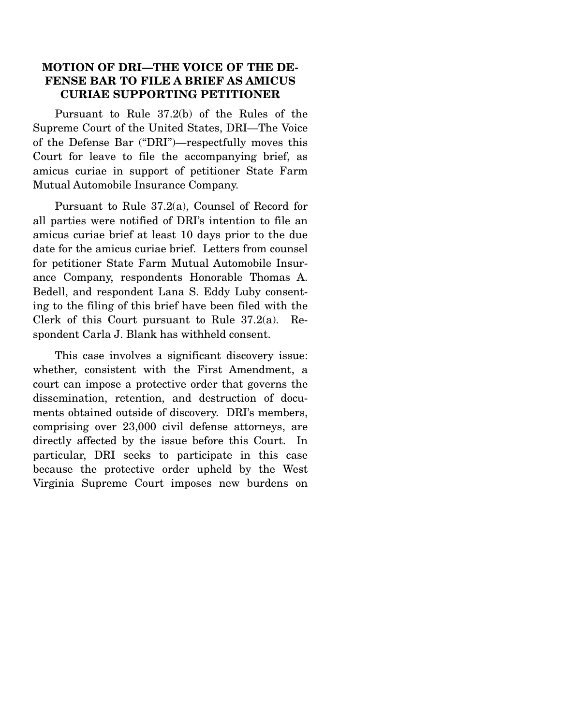### **MOTION OF DRI—THE VOICE OF THE DE-FENSE BAR TO FILE A BRIEF AS AMICUS CURIAE SUPPORTING PETITIONER**

 Pursuant to Rule 37.2(b) of the Rules of the Supreme Court of the United States, DRI—The Voice of the Defense Bar ("DRI")—respectfully moves this Court for leave to file the accompanying brief, as amicus curiae in support of petitioner State Farm Mutual Automobile Insurance Company.

 Pursuant to Rule 37.2(a), Counsel of Record for all parties were notified of DRI's intention to file an amicus curiae brief at least 10 days prior to the due date for the amicus curiae brief. Letters from counsel for petitioner State Farm Mutual Automobile Insurance Company, respondents Honorable Thomas A. Bedell, and respondent Lana S. Eddy Luby consenting to the filing of this brief have been filed with the Clerk of this Court pursuant to Rule 37.2(a). Respondent Carla J. Blank has withheld consent.

 This case involves a significant discovery issue: whether, consistent with the First Amendment, a court can impose a protective order that governs the dissemination, retention, and destruction of documents obtained outside of discovery. DRI's members, comprising over 23,000 civil defense attorneys, are directly affected by the issue before this Court. In particular, DRI seeks to participate in this case because the protective order upheld by the West Virginia Supreme Court imposes new burdens on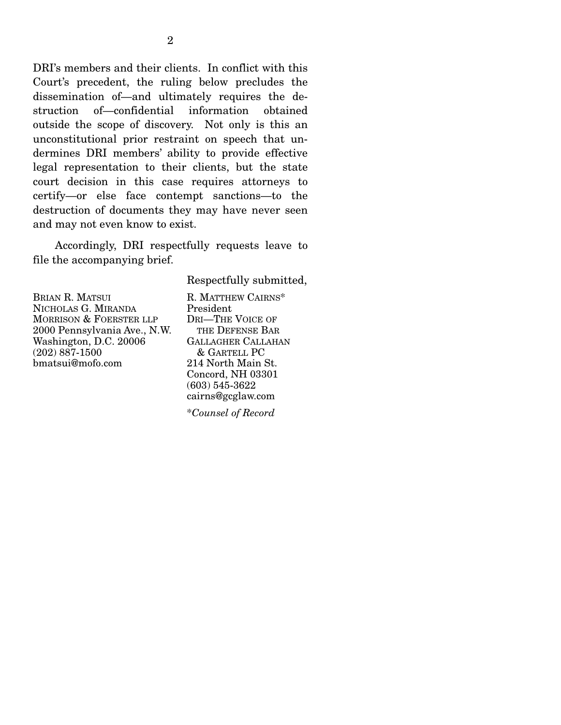DRI's members and their clients. In conflict with this Court's precedent, the ruling below precludes the dissemination of—and ultimately requires the destruction of—confidential information obtained outside the scope of discovery. Not only is this an unconstitutional prior restraint on speech that undermines DRI members' ability to provide effective legal representation to their clients, but the state court decision in this case requires attorneys to certify—or else face contempt sanctions—to the destruction of documents they may have never seen and may not even know to exist.

 Accordingly, DRI respectfully requests leave to file the accompanying brief.

Respectfully submitted,

BRIAN R. MATSUI NICHOLAS G. MIRANDA MORRISON & FOERSTER LLP 2000 Pennsylvania Ave., N.W. Washington, D.C. 20006 (202) 887-1500 bmatsui@mofo.com

R. MATTHEW CAIRNS\* President DRI—THE VOICE OF THE DEFENSE BAR GALLAGHER CALLAHAN & GARTELL PC 214 North Main St. Concord, NH 03301 (603) 545-3622 cairns@gcglaw.com

\**Counsel of Record*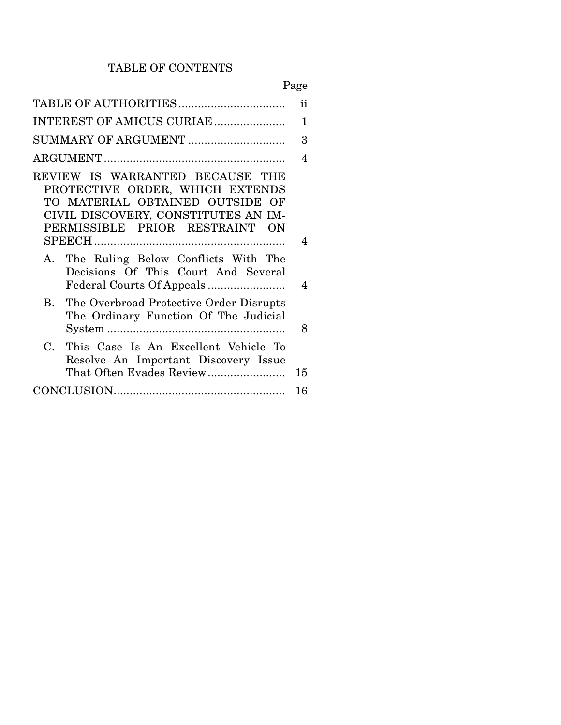## TABLE OF CONTENTS

# Page

|                                                                                                                                                                                | ii |
|--------------------------------------------------------------------------------------------------------------------------------------------------------------------------------|----|
| INTEREST OF AMICUS CURIAE                                                                                                                                                      | 1  |
| SUMMARY OF ARGUMENT                                                                                                                                                            | 3  |
|                                                                                                                                                                                | 4  |
| REVIEW IS WARRANTED BECAUSE THE<br>PROTECTIVE ORDER, WHICH EXTENDS<br>TO MATERIAL OBTAINED OUTSIDE OF<br>CIVIL DISCOVERY, CONSTITUTES AN IM-<br>PERMISSIBLE PRIOR RESTRAINT ON | 4  |
| A. The Ruling Below Conflicts With The<br>Decisions Of This Court And Several                                                                                                  | 4  |
| The Overbroad Protective Order Disrupts<br>$\mathbf{B}$<br>The Ordinary Function Of The Judicial                                                                               | 8  |
| This Case Is An Excellent Vehicle To<br>$\mathbf C$<br>Resolve An Important Discovery Issue<br>That Often Evades Review                                                        | 15 |
|                                                                                                                                                                                | 16 |
|                                                                                                                                                                                |    |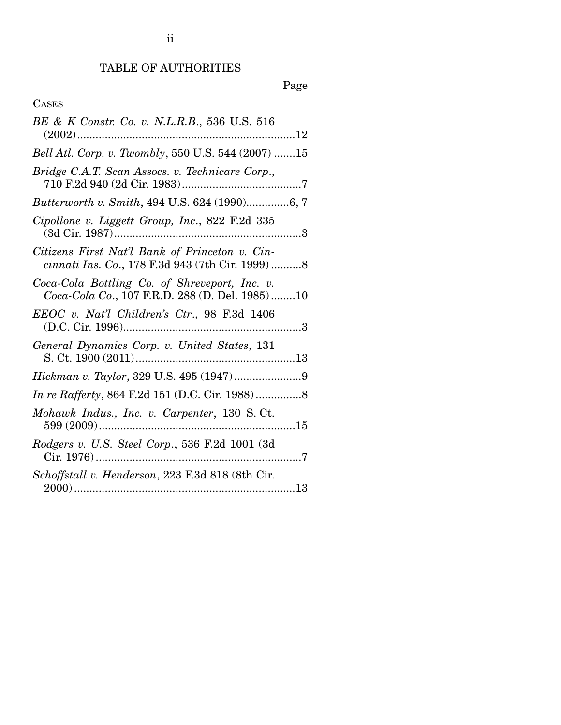## TABLE OF AUTHORITIES

# Page

## CASES

| BE & K Constr. Co. v. N.L.R.B., 536 U.S. 516                                                       |
|----------------------------------------------------------------------------------------------------|
| Bell Atl. Corp. v. Twombly, 550 U.S. 544 (2007) 15                                                 |
| Bridge C.A.T. Scan Assocs. v. Technicare Corp.,                                                    |
| Butterworth v. Smith, 494 U.S. 624 (1990)6, 7                                                      |
| Cipollone v. Liggett Group, Inc., 822 F.2d 335                                                     |
| Citizens First Nat'l Bank of Princeton v. Cin-<br>cinnati Ins. Co., 178 F.3d 943 (7th Cir. 1999) 8 |
| Coca-Cola Bottling Co. of Shreveport, Inc. v.<br>Coca-Cola Co., 107 F.R.D. 288 (D. Del. 1985)10    |
| EEOC v. Nat'l Children's Ctr., 98 F.3d 1406                                                        |
| General Dynamics Corp. v. United States, 131                                                       |
|                                                                                                    |
|                                                                                                    |
| Mohawk Indus., Inc. v. Carpenter, 130 S.Ct.                                                        |
| Rodgers v. U.S. Steel Corp., 536 F.2d 1001 (3d)                                                    |
| Schoffstall v. Henderson, 223 F.3d 818 (8th Cir.                                                   |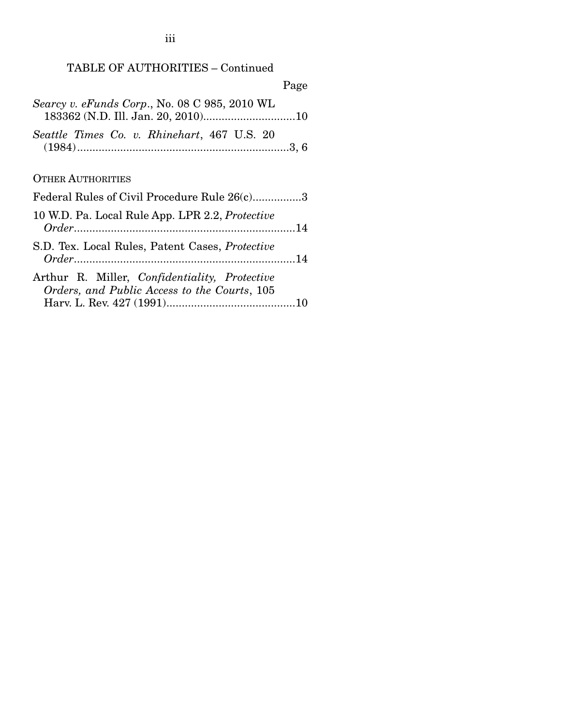## TABLE OF AUTHORITIES – Continued

| Page                                                                                                         |
|--------------------------------------------------------------------------------------------------------------|
| Searcy v. eFunds Corp., No. 08 C 985, 2010 WL                                                                |
| Seattle Times Co. v. Rhinehart, 467 U.S. 20                                                                  |
| <b>OTHER AUTHORITIES</b>                                                                                     |
| Federal Rules of Civil Procedure Rule 26(c)3                                                                 |
| 10 W.D. Pa. Local Rule App. LPR 2.2, Protective                                                              |
| S.D. Tex. Local Rules, Patent Cases, Protective                                                              |
| Arthur R. Miller, <i>Confidentiality</i> , <i>Protective</i><br>Orders, and Public Access to the Courts, 105 |

iii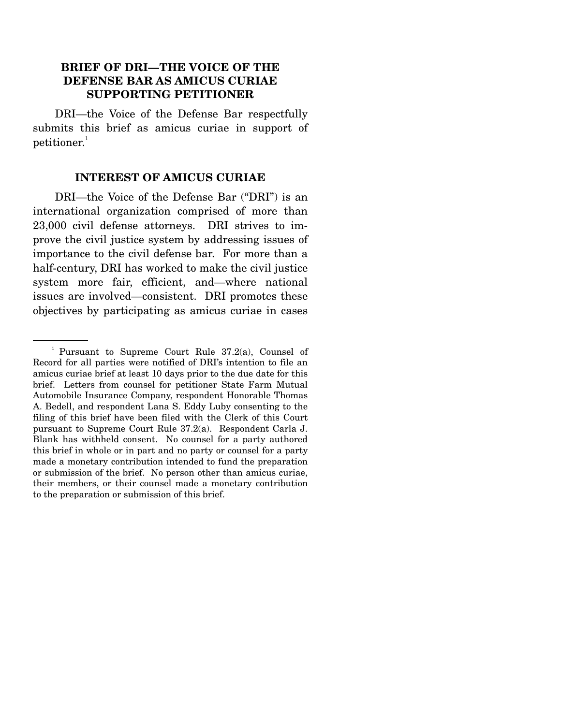### **BRIEF OF DRI—THE VOICE OF THE DEFENSE BAR AS AMICUS CURIAE SUPPORTING PETITIONER**

 DRI—the Voice of the Defense Bar respectfully submits this brief as amicus curiae in support of petitioner. $1$ 

#### **INTEREST OF AMICUS CURIAE**

 DRI—the Voice of the Defense Bar ("DRI") is an international organization comprised of more than 23,000 civil defense attorneys. DRI strives to improve the civil justice system by addressing issues of importance to the civil defense bar. For more than a half-century, DRI has worked to make the civil justice system more fair, efficient, and—where national issues are involved—consistent. DRI promotes these objectives by participating as amicus curiae in cases

<sup>1</sup> Pursuant to Supreme Court Rule 37.2(a), Counsel of Record for all parties were notified of DRI's intention to file an amicus curiae brief at least 10 days prior to the due date for this brief. Letters from counsel for petitioner State Farm Mutual Automobile Insurance Company, respondent Honorable Thomas A. Bedell, and respondent Lana S. Eddy Luby consenting to the filing of this brief have been filed with the Clerk of this Court pursuant to Supreme Court Rule 37.2(a). Respondent Carla J. Blank has withheld consent. No counsel for a party authored this brief in whole or in part and no party or counsel for a party made a monetary contribution intended to fund the preparation or submission of the brief. No person other than amicus curiae, their members, or their counsel made a monetary contribution to the preparation or submission of this brief.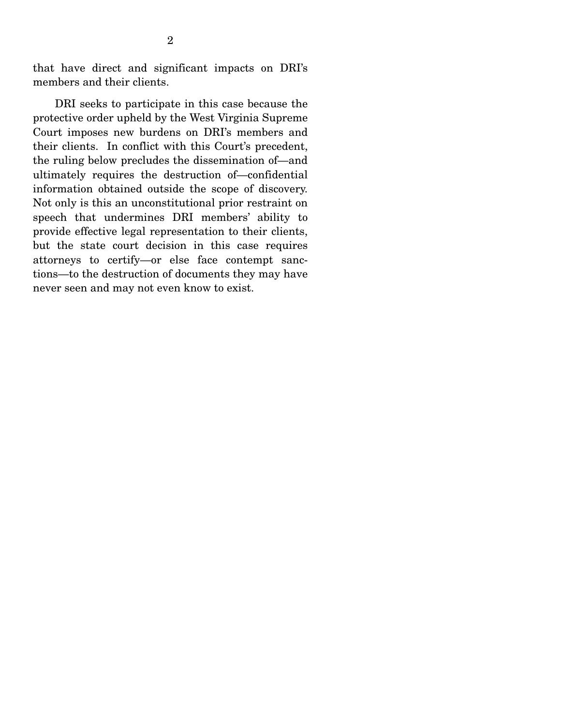that have direct and significant impacts on DRI's members and their clients.

 DRI seeks to participate in this case because the protective order upheld by the West Virginia Supreme Court imposes new burdens on DRI's members and their clients. In conflict with this Court's precedent, the ruling below precludes the dissemination of—and ultimately requires the destruction of—confidential information obtained outside the scope of discovery. Not only is this an unconstitutional prior restraint on speech that undermines DRI members' ability to provide effective legal representation to their clients, but the state court decision in this case requires attorneys to certify—or else face contempt sanctions—to the destruction of documents they may have never seen and may not even know to exist.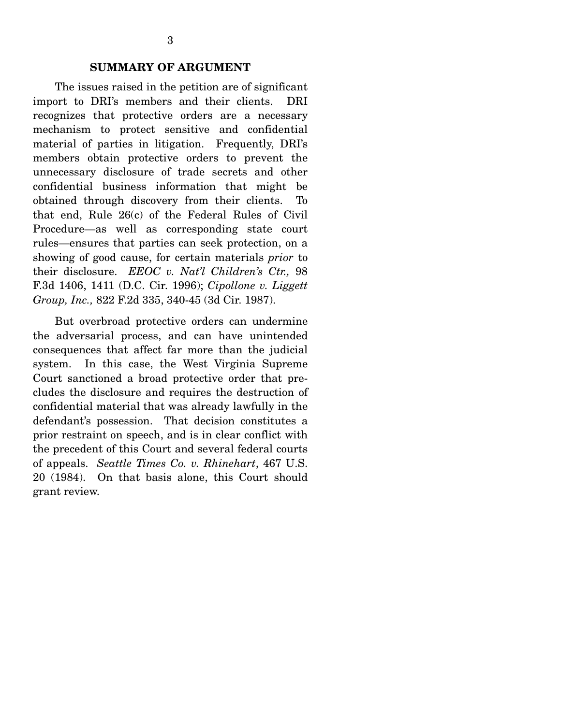### **SUMMARY OF ARGUMENT**

 The issues raised in the petition are of significant import to DRI's members and their clients. DRI recognizes that protective orders are a necessary mechanism to protect sensitive and confidential material of parties in litigation. Frequently, DRI's members obtain protective orders to prevent the unnecessary disclosure of trade secrets and other confidential business information that might be obtained through discovery from their clients. To that end, Rule 26(c) of the Federal Rules of Civil Procedure—as well as corresponding state court rules—ensures that parties can seek protection, on a showing of good cause, for certain materials *prior* to their disclosure. *EEOC v. Nat'l Children's Ctr.,* 98 F.3d 1406, 1411 (D.C. Cir. 1996); *Cipollone v. Liggett Group, Inc.,* 822 F.2d 335, 340-45 (3d Cir. 1987).

 But overbroad protective orders can undermine the adversarial process, and can have unintended consequences that affect far more than the judicial system. In this case, the West Virginia Supreme Court sanctioned a broad protective order that precludes the disclosure and requires the destruction of confidential material that was already lawfully in the defendant's possession. That decision constitutes a prior restraint on speech, and is in clear conflict with the precedent of this Court and several federal courts of appeals. *Seattle Times Co. v. Rhinehart*, 467 U.S. 20 (1984). On that basis alone, this Court should grant review.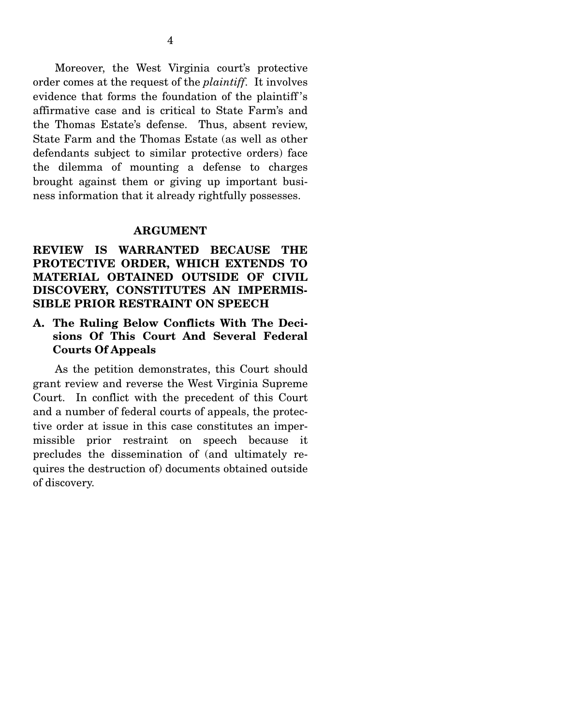Moreover, the West Virginia court's protective order comes at the request of the *plaintiff*. It involves evidence that forms the foundation of the plaintiff 's affirmative case and is critical to State Farm's and the Thomas Estate's defense. Thus, absent review, State Farm and the Thomas Estate (as well as other defendants subject to similar protective orders) face the dilemma of mounting a defense to charges brought against them or giving up important business information that it already rightfully possesses.

#### **ARGUMENT**

## **REVIEW IS WARRANTED BECAUSE THE PROTECTIVE ORDER, WHICH EXTENDS TO MATERIAL OBTAINED OUTSIDE OF CIVIL DISCOVERY, CONSTITUTES AN IMPERMIS-SIBLE PRIOR RESTRAINT ON SPEECH**

## **A. The Ruling Below Conflicts With The Decisions Of This Court And Several Federal Courts Of Appeals**

 As the petition demonstrates, this Court should grant review and reverse the West Virginia Supreme Court. In conflict with the precedent of this Court and a number of federal courts of appeals, the protective order at issue in this case constitutes an impermissible prior restraint on speech because it precludes the dissemination of (and ultimately requires the destruction of) documents obtained outside of discovery.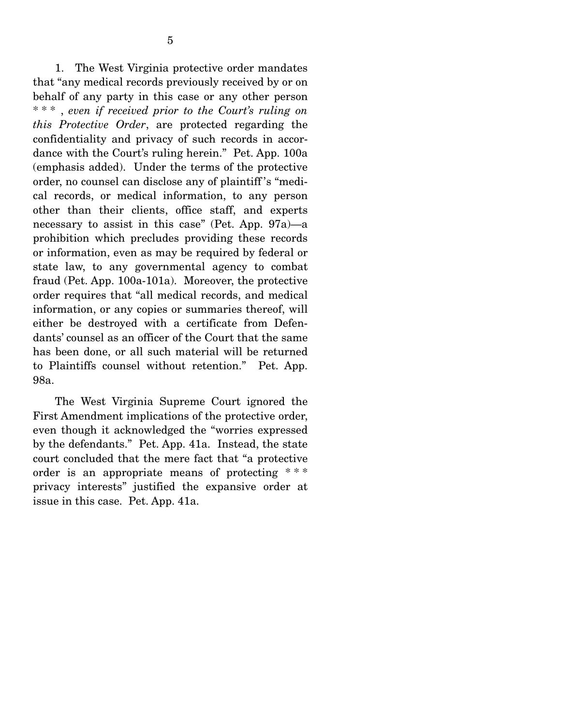1. The West Virginia protective order mandates that "any medical records previously received by or on behalf of any party in this case or any other person \* \* \* , *even if received prior to the Court's ruling on this Protective Order*, are protected regarding the confidentiality and privacy of such records in accordance with the Court's ruling herein." Pet. App. 100a (emphasis added). Under the terms of the protective order, no counsel can disclose any of plaintiff 's "medical records, or medical information, to any person other than their clients, office staff, and experts necessary to assist in this case" (Pet. App. 97a)—a prohibition which precludes providing these records or information, even as may be required by federal or state law, to any governmental agency to combat fraud (Pet. App. 100a-101a). Moreover, the protective order requires that "all medical records, and medical information, or any copies or summaries thereof, will either be destroyed with a certificate from Defendants' counsel as an officer of the Court that the same has been done, or all such material will be returned to Plaintiffs counsel without retention." Pet. App. 98a.

 The West Virginia Supreme Court ignored the First Amendment implications of the protective order, even though it acknowledged the "worries expressed by the defendants." Pet. App. 41a. Instead, the state court concluded that the mere fact that "a protective order is an appropriate means of protecting \*\*\* privacy interests" justified the expansive order at issue in this case. Pet. App. 41a.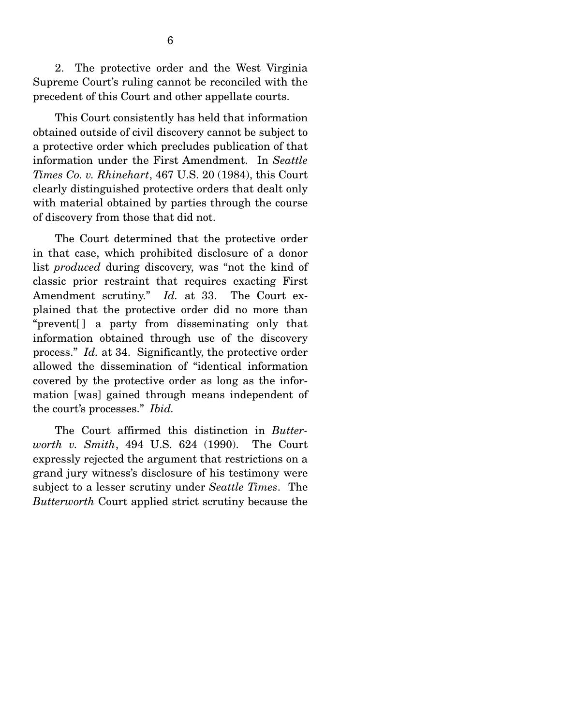2. The protective order and the West Virginia Supreme Court's ruling cannot be reconciled with the precedent of this Court and other appellate courts.

 This Court consistently has held that information obtained outside of civil discovery cannot be subject to a protective order which precludes publication of that information under the First Amendment. In *Seattle Times Co. v. Rhinehart*, 467 U.S. 20 (1984), this Court clearly distinguished protective orders that dealt only with material obtained by parties through the course of discovery from those that did not.

 The Court determined that the protective order in that case, which prohibited disclosure of a donor list *produced* during discovery, was "not the kind of classic prior restraint that requires exacting First Amendment scrutiny." *Id.* at 33. The Court explained that the protective order did no more than "prevent[ ] a party from disseminating only that information obtained through use of the discovery process." *Id.* at 34. Significantly, the protective order allowed the dissemination of "identical information covered by the protective order as long as the information [was] gained through means independent of the court's processes." *Ibid.*

 The Court affirmed this distinction in *Butterworth v. Smith*, 494 U.S. 624 (1990). The Court expressly rejected the argument that restrictions on a grand jury witness's disclosure of his testimony were subject to a lesser scrutiny under *Seattle Times*. The *Butterworth* Court applied strict scrutiny because the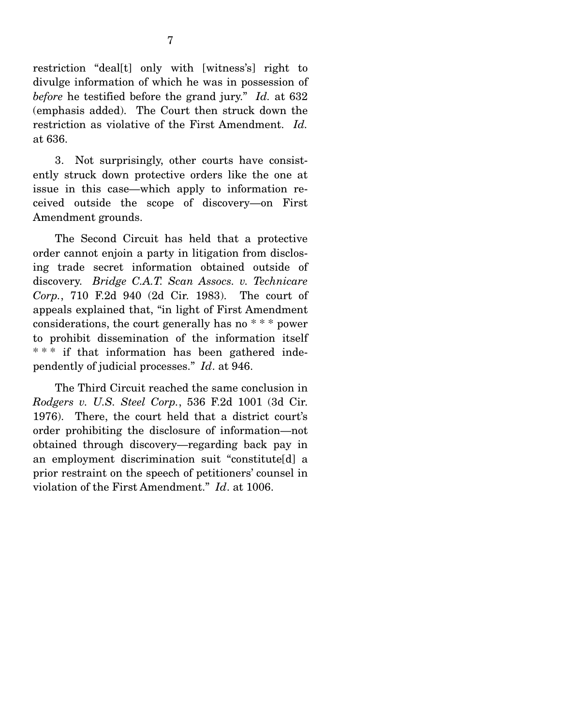restriction "deal[t] only with [witness's] right to divulge information of which he was in possession of *before* he testified before the grand jury." *Id.* at 632 (emphasis added). The Court then struck down the restriction as violative of the First Amendment. *Id.*  at 636.

 3. Not surprisingly, other courts have consistently struck down protective orders like the one at issue in this case—which apply to information received outside the scope of discovery—on First Amendment grounds.

 The Second Circuit has held that a protective order cannot enjoin a party in litigation from disclosing trade secret information obtained outside of discovery. *Bridge C.A.T. Scan Assocs. v. Technicare Corp.*, 710 F.2d 940 (2d Cir. 1983). The court of appeals explained that, "in light of First Amendment considerations, the court generally has no \* \* \* power to prohibit dissemination of the information itself \*\*\* if that information has been gathered independently of judicial processes." *Id*. at 946.

 The Third Circuit reached the same conclusion in *Rodgers v. U.S. Steel Corp.*, 536 F.2d 1001 (3d Cir. 1976). There, the court held that a district court's order prohibiting the disclosure of information—not obtained through discovery—regarding back pay in an employment discrimination suit "constitute[d] a prior restraint on the speech of petitioners' counsel in violation of the First Amendment." *Id*. at 1006.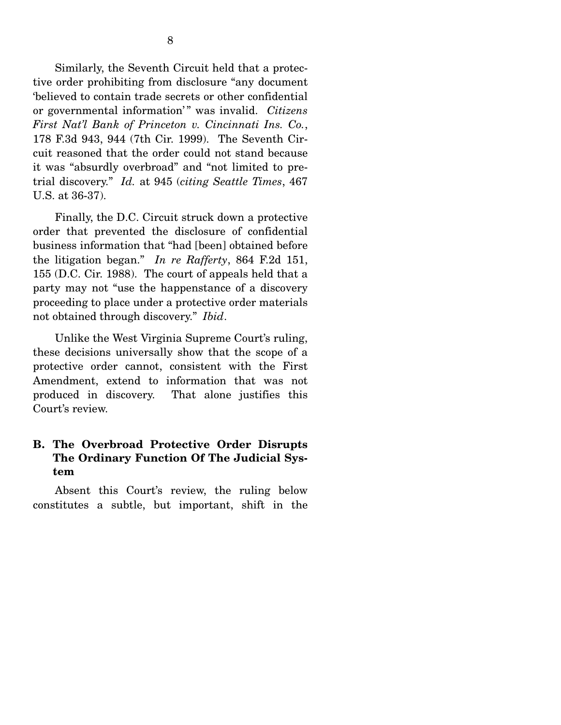Similarly, the Seventh Circuit held that a protective order prohibiting from disclosure "any document 'believed to contain trade secrets or other confidential or governmental information' " was invalid. *Citizens First Nat'l Bank of Princeton v. Cincinnati Ins. Co.*, 178 F.3d 943, 944 (7th Cir. 1999). The Seventh Circuit reasoned that the order could not stand because it was "absurdly overbroad" and "not limited to pretrial discovery." *Id.* at 945 (*citing Seattle Times*, 467 U.S. at 36-37).

 Finally, the D.C. Circuit struck down a protective order that prevented the disclosure of confidential business information that "had [been] obtained before the litigation began." *In re Rafferty*, 864 F.2d 151, 155 (D.C. Cir. 1988). The court of appeals held that a party may not "use the happenstance of a discovery proceeding to place under a protective order materials not obtained through discovery." *Ibid*.

 Unlike the West Virginia Supreme Court's ruling, these decisions universally show that the scope of a protective order cannot, consistent with the First Amendment, extend to information that was not produced in discovery. That alone justifies this Court's review.

## **B. The Overbroad Protective Order Disrupts The Ordinary Function Of The Judicial System**

 Absent this Court's review, the ruling below constitutes a subtle, but important, shift in the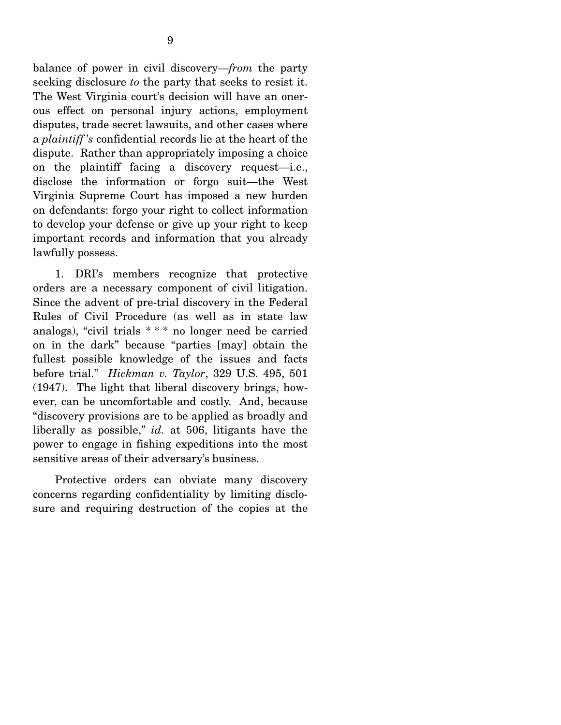balance of power in civil discovery—*from* the party seeking disclosure *to* the party that seeks to resist it. The West Virginia court's decision will have an onerous effect on personal injury actions, employment disputes, trade secret lawsuits, and other cases where a *plaintiff 's* confidential records lie at the heart of the dispute. Rather than appropriately imposing a choice on the plaintiff facing a discovery request—i.e., disclose the information or forgo suit—the West Virginia Supreme Court has imposed a new burden on defendants: forgo your right to collect information to develop your defense or give up your right to keep important records and information that you already lawfully possess.

 1. DRI's members recognize that protective orders are a necessary component of civil litigation. Since the advent of pre-trial discovery in the Federal Rules of Civil Procedure (as well as in state law analogs), "civil trials \* \* \* no longer need be carried on in the dark" because "parties [may] obtain the fullest possible knowledge of the issues and facts before trial." *Hickman v. Taylor*, 329 U.S. 495, 501 (1947). The light that liberal discovery brings, however, can be uncomfortable and costly. And, because "discovery provisions are to be applied as broadly and liberally as possible," *id.* at 506, litigants have the power to engage in fishing expeditions into the most sensitive areas of their adversary's business.

 Protective orders can obviate many discovery concerns regarding confidentiality by limiting disclosure and requiring destruction of the copies at the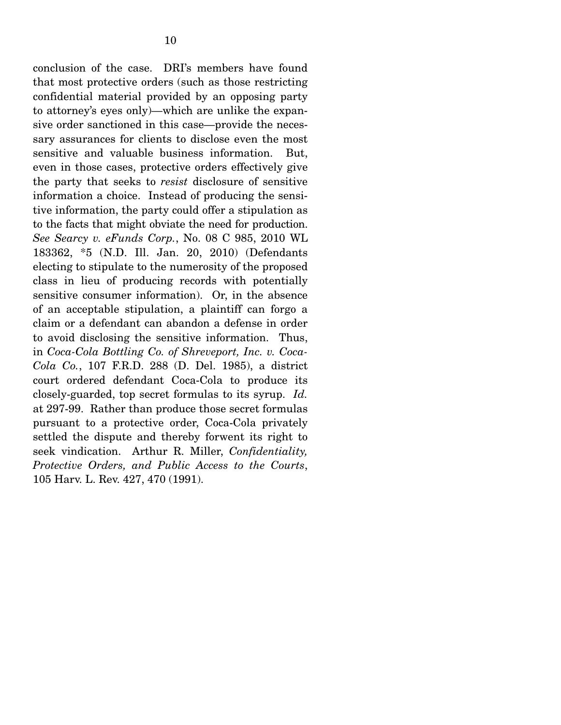conclusion of the case. DRI's members have found that most protective orders (such as those restricting confidential material provided by an opposing party to attorney's eyes only)—which are unlike the expansive order sanctioned in this case—provide the necessary assurances for clients to disclose even the most sensitive and valuable business information. But, even in those cases, protective orders effectively give the party that seeks to *resist* disclosure of sensitive information a choice. Instead of producing the sensitive information, the party could offer a stipulation as to the facts that might obviate the need for production. *See Searcy v. eFunds Corp.*, No. 08 C 985, 2010 WL 183362, \*5 (N.D. Ill. Jan. 20, 2010) (Defendants electing to stipulate to the numerosity of the proposed class in lieu of producing records with potentially sensitive consumer information). Or, in the absence of an acceptable stipulation, a plaintiff can forgo a claim or a defendant can abandon a defense in order to avoid disclosing the sensitive information. Thus, in *Coca-Cola Bottling Co. of Shreveport, Inc. v. Coca-Cola Co.*, 107 F.R.D. 288 (D. Del. 1985), a district court ordered defendant Coca-Cola to produce its closely-guarded, top secret formulas to its syrup. *Id.*  at 297-99. Rather than produce those secret formulas pursuant to a protective order, Coca-Cola privately settled the dispute and thereby forwent its right to seek vindication. Arthur R. Miller, *Confidentiality, Protective Orders, and Public Access to the Courts*, 105 Harv. L. Rev. 427, 470 (1991).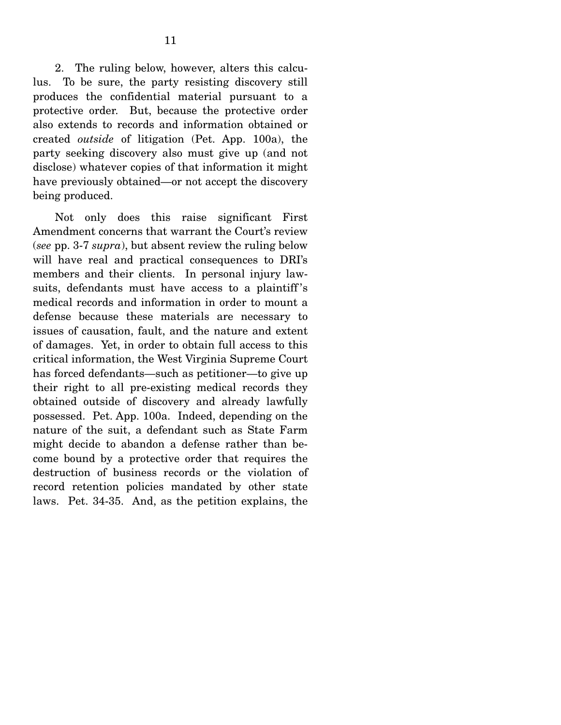2. The ruling below, however, alters this calculus. To be sure, the party resisting discovery still produces the confidential material pursuant to a protective order. But, because the protective order also extends to records and information obtained or created *outside* of litigation (Pet. App. 100a), the party seeking discovery also must give up (and not disclose) whatever copies of that information it might have previously obtained—or not accept the discovery being produced.

 Not only does this raise significant First Amendment concerns that warrant the Court's review (*see* pp. 3-7 *supra*), but absent review the ruling below will have real and practical consequences to DRI's members and their clients. In personal injury lawsuits, defendants must have access to a plaintiff 's medical records and information in order to mount a defense because these materials are necessary to issues of causation, fault, and the nature and extent of damages. Yet, in order to obtain full access to this critical information, the West Virginia Supreme Court has forced defendants—such as petitioner—to give up their right to all pre-existing medical records they obtained outside of discovery and already lawfully possessed. Pet. App. 100a. Indeed, depending on the nature of the suit, a defendant such as State Farm might decide to abandon a defense rather than become bound by a protective order that requires the destruction of business records or the violation of record retention policies mandated by other state laws. Pet. 34-35. And, as the petition explains, the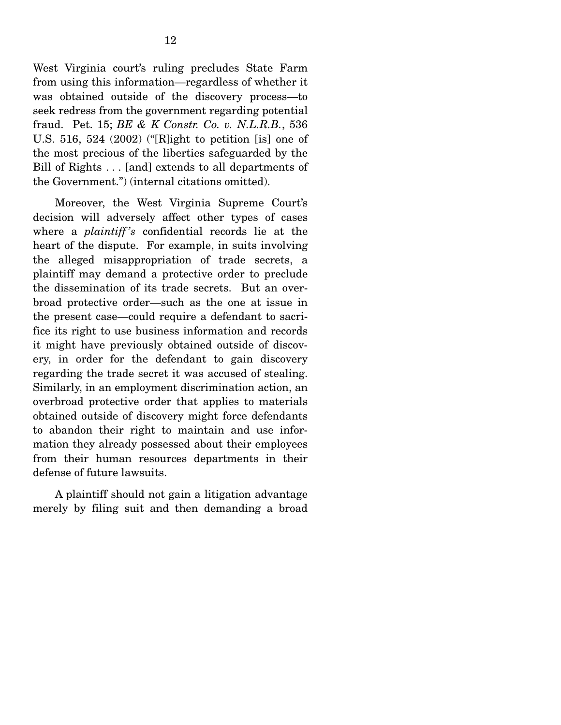West Virginia court's ruling precludes State Farm from using this information—regardless of whether it was obtained outside of the discovery process—to seek redress from the government regarding potential fraud. Pet. 15; *BE & K Constr. Co. v. N.L.R.B.*, 536 U.S. 516, 524 (2002) ("[R]ight to petition [is] one of the most precious of the liberties safeguarded by the Bill of Rights . . . [and] extends to all departments of the Government.") (internal citations omitted).

 Moreover, the West Virginia Supreme Court's decision will adversely affect other types of cases where a *plaintiff 's* confidential records lie at the heart of the dispute. For example, in suits involving the alleged misappropriation of trade secrets, a plaintiff may demand a protective order to preclude the dissemination of its trade secrets. But an overbroad protective order—such as the one at issue in the present case—could require a defendant to sacrifice its right to use business information and records it might have previously obtained outside of discovery, in order for the defendant to gain discovery regarding the trade secret it was accused of stealing. Similarly, in an employment discrimination action, an overbroad protective order that applies to materials obtained outside of discovery might force defendants to abandon their right to maintain and use information they already possessed about their employees from their human resources departments in their defense of future lawsuits.

 A plaintiff should not gain a litigation advantage merely by filing suit and then demanding a broad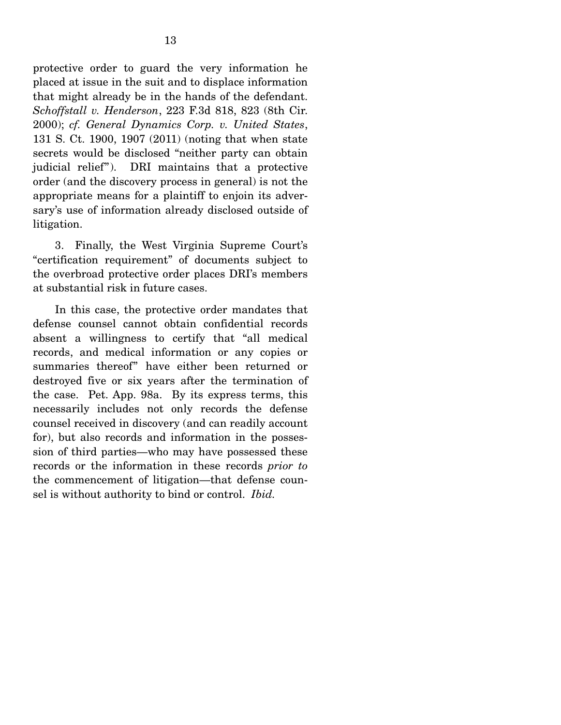protective order to guard the very information he placed at issue in the suit and to displace information that might already be in the hands of the defendant. *Schoffstall v. Henderson*, 223 F.3d 818, 823 (8th Cir. 2000); *cf. General Dynamics Corp. v. United States*, 131 S. Ct. 1900, 1907 (2011) (noting that when state secrets would be disclosed "neither party can obtain judicial relief"). DRI maintains that a protective order (and the discovery process in general) is not the appropriate means for a plaintiff to enjoin its adversary's use of information already disclosed outside of litigation.

 3. Finally, the West Virginia Supreme Court's "certification requirement" of documents subject to the overbroad protective order places DRI's members at substantial risk in future cases.

 In this case, the protective order mandates that defense counsel cannot obtain confidential records absent a willingness to certify that "all medical records, and medical information or any copies or summaries thereof" have either been returned or destroyed five or six years after the termination of the case. Pet. App. 98a. By its express terms, this necessarily includes not only records the defense counsel received in discovery (and can readily account for), but also records and information in the possession of third parties—who may have possessed these records or the information in these records *prior to* the commencement of litigation—that defense counsel is without authority to bind or control. *Ibid.*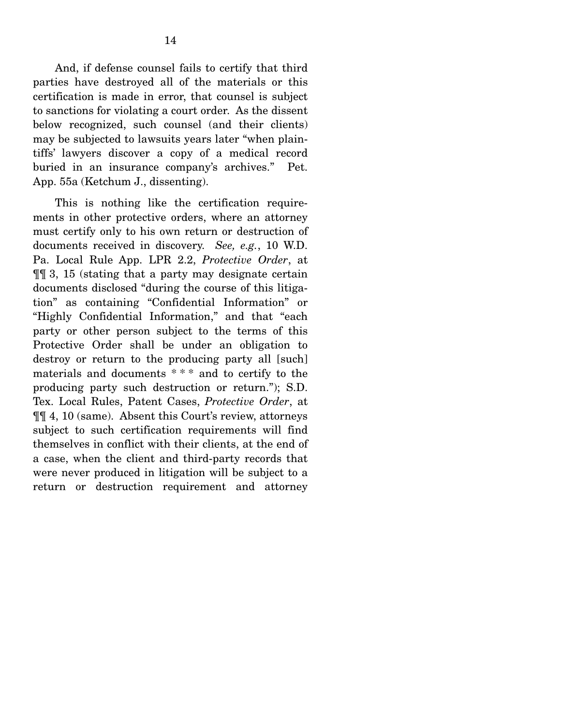And, if defense counsel fails to certify that third parties have destroyed all of the materials or this certification is made in error, that counsel is subject to sanctions for violating a court order. As the dissent below recognized, such counsel (and their clients) may be subjected to lawsuits years later "when plaintiffs' lawyers discover a copy of a medical record buried in an insurance company's archives." Pet. App. 55a (Ketchum J., dissenting).

 This is nothing like the certification requirements in other protective orders, where an attorney must certify only to his own return or destruction of documents received in discovery. *See, e.g.*, 10 W.D. Pa. Local Rule App. LPR 2.2, *Protective Order*, at ¶¶ 3, 15 (stating that a party may designate certain documents disclosed "during the course of this litigation" as containing "Confidential Information" or "Highly Confidential Information," and that "each party or other person subject to the terms of this Protective Order shall be under an obligation to destroy or return to the producing party all [such] materials and documents \* \* \* and to certify to the producing party such destruction or return."); S.D. Tex. Local Rules, Patent Cases, *Protective Order*, at ¶¶ 4, 10 (same). Absent this Court's review, attorneys subject to such certification requirements will find themselves in conflict with their clients, at the end of a case, when the client and third-party records that were never produced in litigation will be subject to a return or destruction requirement and attorney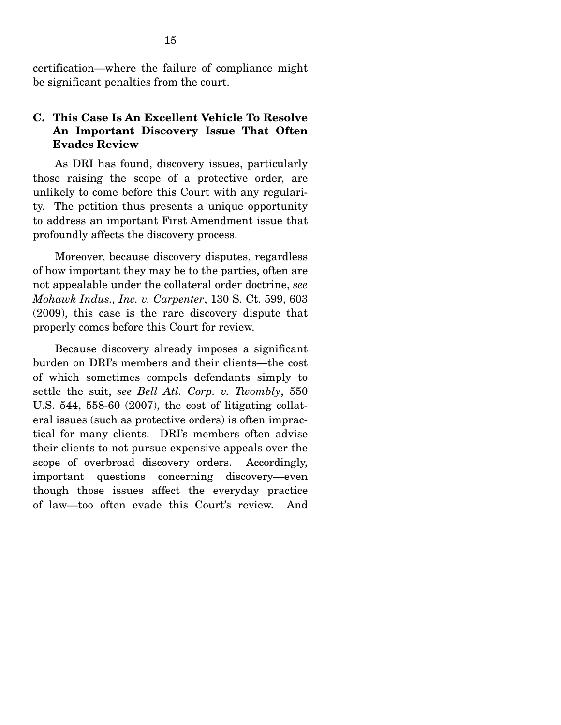certification—where the failure of compliance might be significant penalties from the court.

## **C. This Case Is An Excellent Vehicle To Resolve An Important Discovery Issue That Often Evades Review**

 As DRI has found, discovery issues, particularly those raising the scope of a protective order, are unlikely to come before this Court with any regularity. The petition thus presents a unique opportunity to address an important First Amendment issue that profoundly affects the discovery process.

 Moreover, because discovery disputes, regardless of how important they may be to the parties, often are not appealable under the collateral order doctrine, *see Mohawk Indus., Inc. v. Carpenter*, 130 S. Ct. 599, 603 (2009), this case is the rare discovery dispute that properly comes before this Court for review.

 Because discovery already imposes a significant burden on DRI's members and their clients—the cost of which sometimes compels defendants simply to settle the suit, *see Bell Atl. Corp. v. Twombly*, 550 U.S. 544, 558-60 (2007), the cost of litigating collateral issues (such as protective orders) is often impractical for many clients. DRI's members often advise their clients to not pursue expensive appeals over the scope of overbroad discovery orders. Accordingly, important questions concerning discovery—even though those issues affect the everyday practice of law—too often evade this Court's review. And